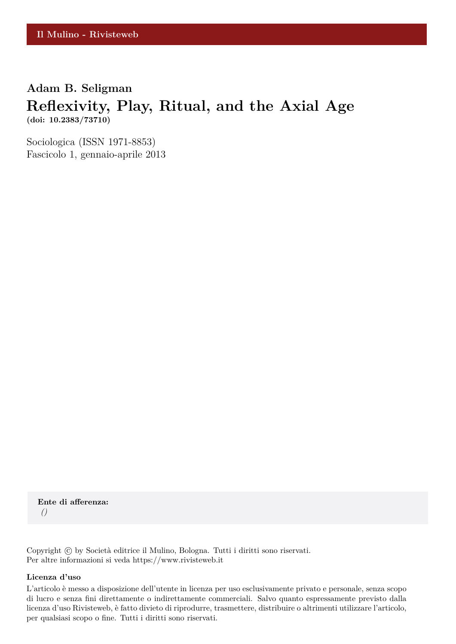## **Adam B. Seligman Reflexivity, Play, Ritual, and the Axial Age (doi: 10.2383/73710)**

Sociologica (ISSN 1971-8853) Fascicolo 1, gennaio-aprile 2013

**Ente di afferenza:** *()*

Copyright © by Società editrice il Mulino, Bologna. Tutti i diritti sono riservati. Per altre informazioni si veda https://www.rivisteweb.it

#### **Licenza d'uso**

L'articolo è messo a disposizione dell'utente in licenza per uso esclusivamente privato e personale, senza scopo di lucro e senza fini direttamente o indirettamente commerciali. Salvo quanto espressamente previsto dalla licenza d'uso Rivisteweb, è fatto divieto di riprodurre, trasmettere, distribuire o altrimenti utilizzare l'articolo, per qualsiasi scopo o fine. Tutti i diritti sono riservati.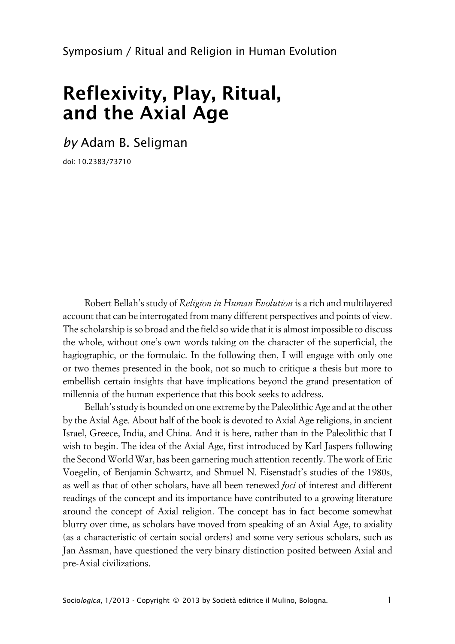# **Reflexivity, Play, Ritual, and the Axial Age**

*by* Adam B. Seligman

doi: 10.2383/73710

Robert Bellah's study of *Religion in Human Evolution* is a rich and multilayered account that can be interrogated from many different perspectives and points of view. The scholarship is so broad and the field so wide that it is almost impossible to discuss the whole, without one's own words taking on the character of the superficial, the hagiographic, or the formulaic. In the following then, I will engage with only one or two themes presented in the book, not so much to critique a thesis but more to embellish certain insights that have implications beyond the grand presentation of millennia of the human experience that this book seeks to address.

Bellah's study is bounded on one extreme by the Paleolithic Age and at the other by the Axial Age. About half of the book is devoted to Axial Age religions, in ancient Israel, Greece, India, and China. And it is here, rather than in the Paleolithic that I wish to begin. The idea of the Axial Age, first introduced by Karl Jaspers following the Second World War, has been garnering much attention recently. The work of Eric Voegelin, of Benjamin Schwartz, and Shmuel N. Eisenstadt's studies of the 1980s, as well as that of other scholars, have all been renewed *foci* of interest and different readings of the concept and its importance have contributed to a growing literature around the concept of Axial religion. The concept has in fact become somewhat blurry over time, as scholars have moved from speaking of an Axial Age, to axiality (as a characteristic of certain social orders) and some very serious scholars, such as Jan Assman, have questioned the very binary distinction posited between Axial and pre-Axial civilizations.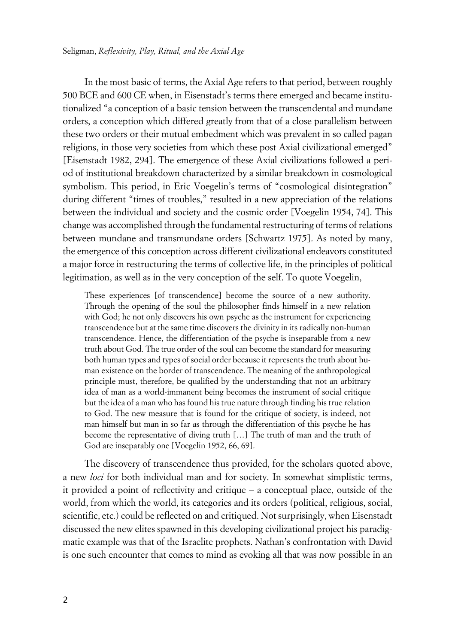In the most basic of terms, the Axial Age refers to that period, between roughly 500 BCE and 600 CE when, in Eisenstadt's terms there emerged and became institutionalized "a conception of a basic tension between the transcendental and mundane orders, a conception which differed greatly from that of a close parallelism between these two orders or their mutual embedment which was prevalent in so called pagan religions, in those very societies from which these post Axial civilizational emerged" [Eisenstadt 1982, 294]. The emergence of these Axial civilizations followed a period of institutional breakdown characterized by a similar breakdown in cosmological symbolism. This period, in Eric Voegelin's terms of "cosmological disintegration" during different "times of troubles," resulted in a new appreciation of the relations between the individual and society and the cosmic order [Voegelin 1954, 74]. This change was accomplished through the fundamental restructuring of terms of relations between mundane and transmundane orders [Schwartz 1975]. As noted by many, the emergence of this conception across different civilizational endeavors constituted a major force in restructuring the terms of collective life, in the principles of political legitimation, as well as in the very conception of the self. To quote Voegelin,

These experiences [of transcendence] become the source of a new authority. Through the opening of the soul the philosopher finds himself in a new relation with God; he not only discovers his own psyche as the instrument for experiencing transcendence but at the same time discovers the divinity in its radically non-human transcendence. Hence, the differentiation of the psyche is inseparable from a new truth about God. The true order of the soul can become the standard for measuring both human types and types of social order because it represents the truth about human existence on the border of transcendence. The meaning of the anthropological principle must, therefore, be qualified by the understanding that not an arbitrary idea of man as a world-immanent being becomes the instrument of social critique but the idea of a man who has found his true nature through finding his true relation to God. The new measure that is found for the critique of society, is indeed, not man himself but man in so far as through the differentiation of this psyche he has become the representative of diving truth […] The truth of man and the truth of God are inseparably one [Voegelin 1952, 66, 69].

The discovery of transcendence thus provided, for the scholars quoted above, a new *loci* for both individual man and for society. In somewhat simplistic terms, it provided a point of reflectivity and critique – a conceptual place, outside of the world, from which the world, its categories and its orders (political, religious, social, scientific, etc.) could be reflected on and critiqued. Not surprisingly, when Eisenstadt discussed the new elites spawned in this developing civilizational project his paradigmatic example was that of the Israelite prophets. Nathan's confrontation with David is one such encounter that comes to mind as evoking all that was now possible in an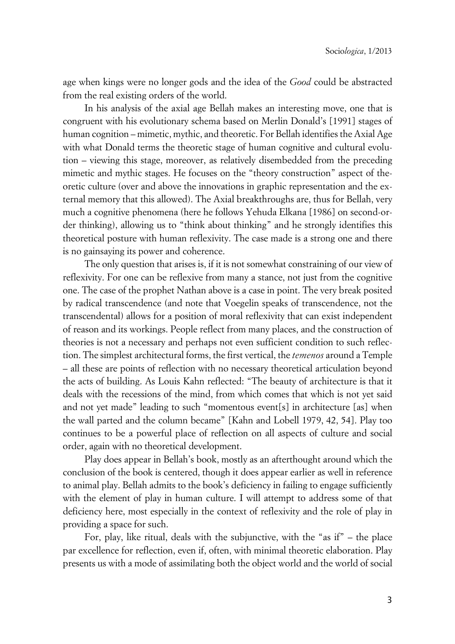age when kings were no longer gods and the idea of the *Good* could be abstracted from the real existing orders of the world.

In his analysis of the axial age Bellah makes an interesting move, one that is congruent with his evolutionary schema based on Merlin Donald's [1991] stages of human cognition – mimetic, mythic, and theoretic. For Bellah identifies the Axial Age with what Donald terms the theoretic stage of human cognitive and cultural evolution – viewing this stage, moreover, as relatively disembedded from the preceding mimetic and mythic stages. He focuses on the "theory construction" aspect of theoretic culture (over and above the innovations in graphic representation and the external memory that this allowed). The Axial breakthroughs are, thus for Bellah, very much a cognitive phenomena (here he follows Yehuda Elkana [1986] on second-order thinking), allowing us to "think about thinking" and he strongly identifies this theoretical posture with human reflexivity. The case made is a strong one and there is no gainsaying its power and coherence.

The only question that arises is, if it is not somewhat constraining of our view of reflexivity. For one can be reflexive from many a stance, not just from the cognitive one. The case of the prophet Nathan above is a case in point. The very break posited by radical transcendence (and note that Voegelin speaks of transcendence, not the transcendental) allows for a position of moral reflexivity that can exist independent of reason and its workings. People reflect from many places, and the construction of theories is not a necessary and perhaps not even sufficient condition to such reflection. The simplest architectural forms, the first vertical, the *temenos* around a Temple – all these are points of reflection with no necessary theoretical articulation beyond the acts of building. As Louis Kahn reflected: "The beauty of architecture is that it deals with the recessions of the mind, from which comes that which is not yet said and not yet made" leading to such "momentous event[s] in architecture [as] when the wall parted and the column became" [Kahn and Lobell 1979, 42, 54]. Play too continues to be a powerful place of reflection on all aspects of culture and social order, again with no theoretical development.

Play does appear in Bellah's book, mostly as an afterthought around which the conclusion of the book is centered, though it does appear earlier as well in reference to animal play. Bellah admits to the book's deficiency in failing to engage sufficiently with the element of play in human culture. I will attempt to address some of that deficiency here, most especially in the context of reflexivity and the role of play in providing a space for such.

For, play, like ritual, deals with the subjunctive, with the "as if" – the place par excellence for reflection, even if, often, with minimal theoretic elaboration. Play presents us with a mode of assimilating both the object world and the world of social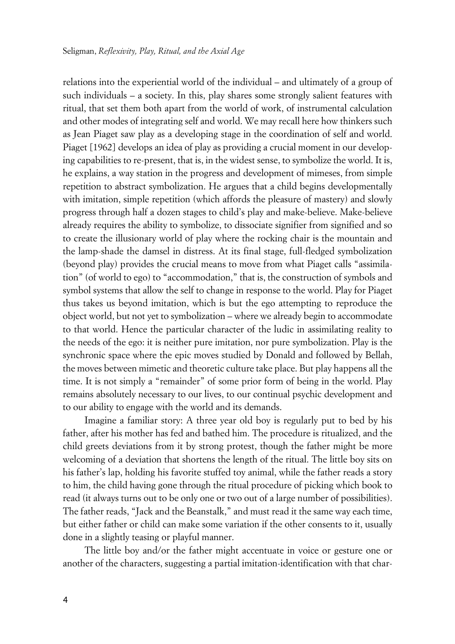relations into the experiential world of the individual – and ultimately of a group of such individuals – a society. In this, play shares some strongly salient features with ritual, that set them both apart from the world of work, of instrumental calculation and other modes of integrating self and world. We may recall here how thinkers such as Jean Piaget saw play as a developing stage in the coordination of self and world. Piaget [1962] develops an idea of play as providing a crucial moment in our developing capabilities to re-present, that is, in the widest sense, to symbolize the world. It is, he explains, a way station in the progress and development of mimeses, from simple repetition to abstract symbolization. He argues that a child begins developmentally with imitation, simple repetition (which affords the pleasure of mastery) and slowly progress through half a dozen stages to child's play and make-believe. Make-believe already requires the ability to symbolize, to dissociate signifier from signified and so to create the illusionary world of play where the rocking chair is the mountain and the lamp-shade the damsel in distress. At its final stage, full-fledged symbolization (beyond play) provides the crucial means to move from what Piaget calls "assimilation" (of world to ego) to "accommodation," that is, the construction of symbols and symbol systems that allow the self to change in response to the world. Play for Piaget thus takes us beyond imitation, which is but the ego attempting to reproduce the object world, but not yet to symbolization – where we already begin to accommodate to that world. Hence the particular character of the ludic in assimilating reality to the needs of the ego: it is neither pure imitation, nor pure symbolization. Play is the synchronic space where the epic moves studied by Donald and followed by Bellah, the moves between mimetic and theoretic culture take place. But play happens all the time. It is not simply a "remainder" of some prior form of being in the world. Play remains absolutely necessary to our lives, to our continual psychic development and to our ability to engage with the world and its demands.

Imagine a familiar story: A three year old boy is regularly put to bed by his father, after his mother has fed and bathed him. The procedure is ritualized, and the child greets deviations from it by strong protest, though the father might be more welcoming of a deviation that shortens the length of the ritual. The little boy sits on his father's lap, holding his favorite stuffed toy animal, while the father reads a story to him, the child having gone through the ritual procedure of picking which book to read (it always turns out to be only one or two out of a large number of possibilities). The father reads, "Jack and the Beanstalk," and must read it the same way each time, but either father or child can make some variation if the other consents to it, usually done in a slightly teasing or playful manner.

The little boy and/or the father might accentuate in voice or gesture one or another of the characters, suggesting a partial imitation-identification with that char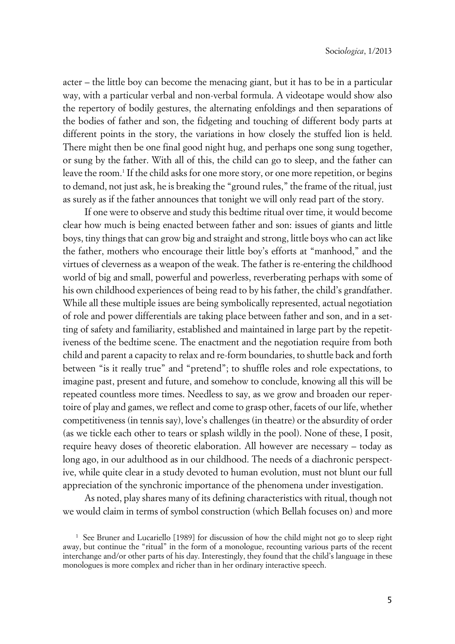acter – the little boy can become the menacing giant, but it has to be in a particular way, with a particular verbal and non-verbal formula. A videotape would show also the repertory of bodily gestures, the alternating enfoldings and then separations of the bodies of father and son, the fidgeting and touching of different body parts at different points in the story, the variations in how closely the stuffed lion is held. There might then be one final good night hug, and perhaps one song sung together, or sung by the father. With all of this, the child can go to sleep, and the father can leave the room.<sup>1</sup> If the child asks for one more story, or one more repetition, or begins to demand, not just ask, he is breaking the "ground rules," the frame of the ritual, just as surely as if the father announces that tonight we will only read part of the story.

If one were to observe and study this bedtime ritual over time, it would become clear how much is being enacted between father and son: issues of giants and little boys, tiny things that can grow big and straight and strong, little boys who can act like the father, mothers who encourage their little boy's efforts at "manhood," and the virtues of cleverness as a weapon of the weak. The father is re-entering the childhood world of big and small, powerful and powerless, reverberating perhaps with some of his own childhood experiences of being read to by his father, the child's grandfather. While all these multiple issues are being symbolically represented, actual negotiation of role and power differentials are taking place between father and son, and in a setting of safety and familiarity, established and maintained in large part by the repetitiveness of the bedtime scene. The enactment and the negotiation require from both child and parent a capacity to relax and re-form boundaries, to shuttle back and forth between "is it really true" and "pretend"; to shuffle roles and role expectations, to imagine past, present and future, and somehow to conclude, knowing all this will be repeated countless more times. Needless to say, as we grow and broaden our repertoire of play and games, we reflect and come to grasp other, facets of our life, whether competitiveness (in tennis say), love's challenges (in theatre) or the absurdity of order (as we tickle each other to tears or splash wildly in the pool). None of these, I posit, require heavy doses of theoretic elaboration. All however are necessary – today as long ago, in our adulthood as in our childhood. The needs of a diachronic perspective, while quite clear in a study devoted to human evolution, must not blunt our full appreciation of the synchronic importance of the phenomena under investigation.

As noted, play shares many of its defining characteristics with ritual, though not we would claim in terms of symbol construction (which Bellah focuses on) and more

<sup>1</sup> See Bruner and Lucariello [1989] for discussion of how the child might not go to sleep right away, but continue the "ritual" in the form of a monologue, recounting various parts of the recent interchange and/or other parts of his day. Interestingly, they found that the child's language in these monologues is more complex and richer than in her ordinary interactive speech.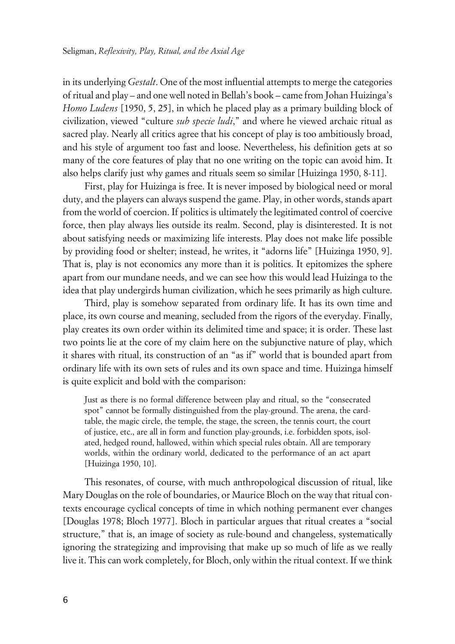in its underlying *Gestalt*. One of the most influential attempts to merge the categories of ritual and play – and one well noted in Bellah's book – came from Johan Huizinga's *Homo Ludens* [1950, 5, 25], in which he placed play as a primary building block of civilization, viewed "culture *sub specie ludi*," and where he viewed archaic ritual as sacred play. Nearly all critics agree that his concept of play is too ambitiously broad, and his style of argument too fast and loose. Nevertheless, his definition gets at so many of the core features of play that no one writing on the topic can avoid him. It also helps clarify just why games and rituals seem so similar [Huizinga 1950, 8-11].

First, play for Huizinga is free. It is never imposed by biological need or moral duty, and the players can always suspend the game. Play, in other words, stands apart from the world of coercion. If politics is ultimately the legitimated control of coercive force, then play always lies outside its realm. Second, play is disinterested. It is not about satisfying needs or maximizing life interests. Play does not make life possible by providing food or shelter; instead, he writes, it "adorns life" [Huizinga 1950, 9]. That is, play is not economics any more than it is politics. It epitomizes the sphere apart from our mundane needs, and we can see how this would lead Huizinga to the idea that play undergirds human civilization, which he sees primarily as high culture.

Third, play is somehow separated from ordinary life. It has its own time and place, its own course and meaning, secluded from the rigors of the everyday. Finally, play creates its own order within its delimited time and space; it is order. These last two points lie at the core of my claim here on the subjunctive nature of play, which it shares with ritual, its construction of an "as if" world that is bounded apart from ordinary life with its own sets of rules and its own space and time. Huizinga himself is quite explicit and bold with the comparison:

Just as there is no formal difference between play and ritual, so the "consecrated spot" cannot be formally distinguished from the play-ground. The arena, the cardtable, the magic circle, the temple, the stage, the screen, the tennis court, the court of justice, etc., are all in form and function play-grounds, i.e. forbidden spots, isolated, hedged round, hallowed, within which special rules obtain. All are temporary worlds, within the ordinary world, dedicated to the performance of an act apart [Huizinga 1950, 10].

This resonates, of course, with much anthropological discussion of ritual, like Mary Douglas on the role of boundaries, or Maurice Bloch on the way that ritual contexts encourage cyclical concepts of time in which nothing permanent ever changes [Douglas 1978; Bloch 1977]. Bloch in particular argues that ritual creates a "social structure," that is, an image of society as rule-bound and changeless, systematically ignoring the strategizing and improvising that make up so much of life as we really live it. This can work completely, for Bloch, only within the ritual context. If we think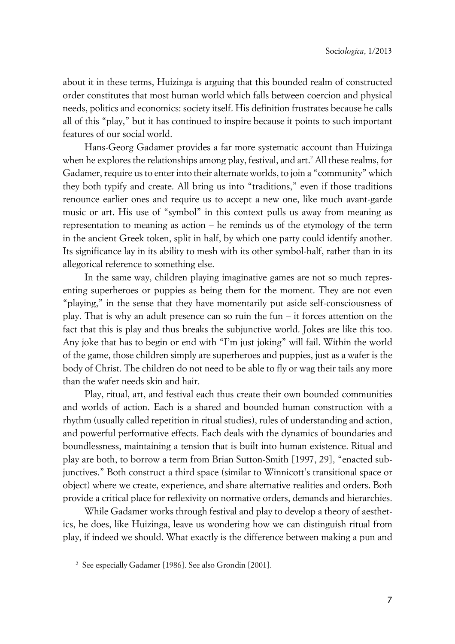about it in these terms, Huizinga is arguing that this bounded realm of constructed order constitutes that most human world which falls between coercion and physical needs, politics and economics: society itself. His definition frustrates because he calls all of this "play," but it has continued to inspire because it points to such important features of our social world.

Hans-Georg Gadamer provides a far more systematic account than Huizinga when he explores the relationships among play, festival, and art.<sup>2</sup> All these realms, for Gadamer, require us to enter into their alternate worlds, to join a "community" which they both typify and create. All bring us into "traditions," even if those traditions renounce earlier ones and require us to accept a new one, like much avant-garde music or art. His use of "symbol" in this context pulls us away from meaning as representation to meaning as action – he reminds us of the etymology of the term in the ancient Greek token, split in half, by which one party could identify another. Its significance lay in its ability to mesh with its other symbol-half, rather than in its allegorical reference to something else.

In the same way, children playing imaginative games are not so much representing superheroes or puppies as being them for the moment. They are not even "playing," in the sense that they have momentarily put aside self-consciousness of play. That is why an adult presence can so ruin the fun – it forces attention on the fact that this is play and thus breaks the subjunctive world. Jokes are like this too. Any joke that has to begin or end with "I'm just joking" will fail. Within the world of the game, those children simply are superheroes and puppies, just as a wafer is the body of Christ. The children do not need to be able to fly or wag their tails any more than the wafer needs skin and hair.

Play, ritual, art, and festival each thus create their own bounded communities and worlds of action. Each is a shared and bounded human construction with a rhythm (usually called repetition in ritual studies), rules of understanding and action, and powerful performative effects. Each deals with the dynamics of boundaries and boundlessness, maintaining a tension that is built into human existence. Ritual and play are both, to borrow a term from Brian Sutton-Smith [1997, 29], "enacted subjunctives." Both construct a third space (similar to Winnicott's transitional space or object) where we create, experience, and share alternative realities and orders. Both provide a critical place for reflexivity on normative orders, demands and hierarchies.

While Gadamer works through festival and play to develop a theory of aesthetics, he does, like Huizinga, leave us wondering how we can distinguish ritual from play, if indeed we should. What exactly is the difference between making a pun and

<sup>2</sup> See especially Gadamer [1986]. See also Grondin [2001].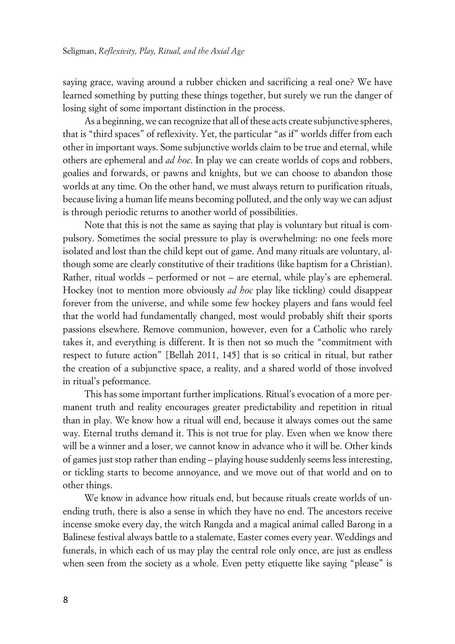saying grace, waving around a rubber chicken and sacrificing a real one? We have learned something by putting these things together, but surely we run the danger of losing sight of some important distinction in the process.

As a beginning, we can recognize that all of these acts create subjunctive spheres, that is "third spaces" of reflexivity. Yet, the particular "as if" worlds differ from each other in important ways. Some subjunctive worlds claim to be true and eternal, while others are ephemeral and *ad hoc*. In play we can create worlds of cops and robbers, goalies and forwards, or pawns and knights, but we can choose to abandon those worlds at any time. On the other hand, we must always return to purification rituals, because living a human life means becoming polluted, and the only way we can adjust is through periodic returns to another world of possibilities.

Note that this is not the same as saying that play is voluntary but ritual is compulsory. Sometimes the social pressure to play is overwhelming: no one feels more isolated and lost than the child kept out of game. And many rituals are voluntary, although some are clearly constitutive of their traditions (like baptism for a Christian). Rather, ritual worlds – performed or not – are eternal, while play's are ephemeral. Hockey (not to mention more obviously *ad hoc* play like tickling) could disappear forever from the universe, and while some few hockey players and fans would feel that the world had fundamentally changed, most would probably shift their sports passions elsewhere. Remove communion, however, even for a Catholic who rarely takes it, and everything is different. It is then not so much the "commitment with respect to future action" [Bellah 2011, 145] that is so critical in ritual, but rather the creation of a subjunctive space, a reality, and a shared world of those involved in ritual's peformance.

This has some important further implications. Ritual's evocation of a more permanent truth and reality encourages greater predictability and repetition in ritual than in play. We know how a ritual will end, because it always comes out the same way. Eternal truths demand it. This is not true for play. Even when we know there will be a winner and a loser, we cannot know in advance who it will be. Other kinds of games just stop rather than ending – playing house suddenly seems less interesting, or tickling starts to become annoyance, and we move out of that world and on to other things.

We know in advance how rituals end, but because rituals create worlds of unending truth, there is also a sense in which they have no end. The ancestors receive incense smoke every day, the witch Rangda and a magical animal called Barong in a Balinese festival always battle to a stalemate, Easter comes every year. Weddings and funerals, in which each of us may play the central role only once, are just as endless when seen from the society as a whole. Even petty etiquette like saying "please" is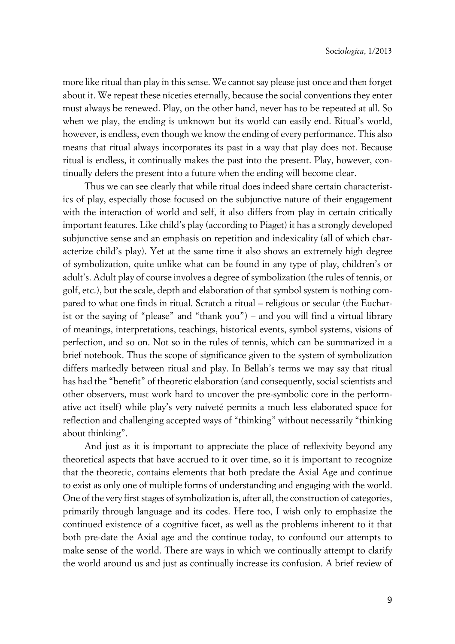more like ritual than play in this sense. We cannot say please just once and then forget about it. We repeat these niceties eternally, because the social conventions they enter must always be renewed. Play, on the other hand, never has to be repeated at all. So when we play, the ending is unknown but its world can easily end. Ritual's world, however, is endless, even though we know the ending of every performance. This also means that ritual always incorporates its past in a way that play does not. Because ritual is endless, it continually makes the past into the present. Play, however, continually defers the present into a future when the ending will become clear.

Thus we can see clearly that while ritual does indeed share certain characteristics of play, especially those focused on the subjunctive nature of their engagement with the interaction of world and self, it also differs from play in certain critically important features. Like child's play (according to Piaget) it has a strongly developed subjunctive sense and an emphasis on repetition and indexicality (all of which characterize child's play). Yet at the same time it also shows an extremely high degree of symbolization, quite unlike what can be found in any type of play, children's or adult's. Adult play of course involves a degree of symbolization (the rules of tennis, or golf, etc.), but the scale, depth and elaboration of that symbol system is nothing compared to what one finds in ritual. Scratch a ritual – religious or secular (the Eucharist or the saying of "please" and "thank you") – and you will find a virtual library of meanings, interpretations, teachings, historical events, symbol systems, visions of perfection, and so on. Not so in the rules of tennis, which can be summarized in a brief notebook. Thus the scope of significance given to the system of symbolization differs markedly between ritual and play. In Bellah's terms we may say that ritual has had the "benefit" of theoretic elaboration (and consequently, social scientists and other observers, must work hard to uncover the pre-symbolic core in the performative act itself) while play's very naiveté permits a much less elaborated space for reflection and challenging accepted ways of "thinking" without necessarily "thinking about thinking".

And just as it is important to appreciate the place of reflexivity beyond any theoretical aspects that have accrued to it over time, so it is important to recognize that the theoretic, contains elements that both predate the Axial Age and continue to exist as only one of multiple forms of understanding and engaging with the world. One of the very first stages of symbolization is, after all, the construction of categories, primarily through language and its codes. Here too, I wish only to emphasize the continued existence of a cognitive facet, as well as the problems inherent to it that both pre-date the Axial age and the continue today, to confound our attempts to make sense of the world. There are ways in which we continually attempt to clarify the world around us and just as continually increase its confusion. A brief review of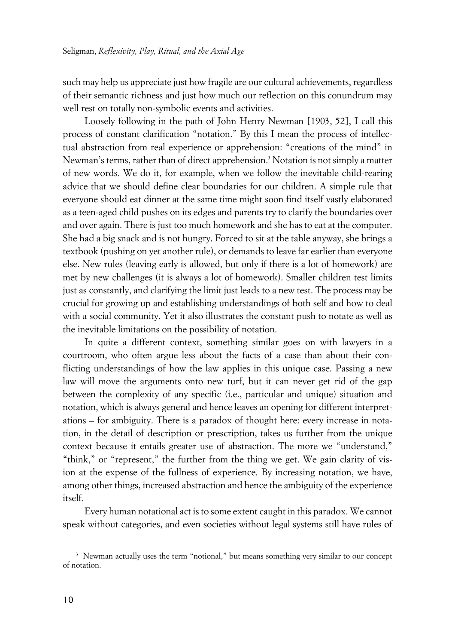such may help us appreciate just how fragile are our cultural achievements, regardless of their semantic richness and just how much our reflection on this conundrum may well rest on totally non-symbolic events and activities.

Loosely following in the path of John Henry Newman [1903, 52], I call this process of constant clarification "notation." By this I mean the process of intellectual abstraction from real experience or apprehension: "creations of the mind" in Newman's terms, rather than of direct apprehension.<sup>3</sup> Notation is not simply a matter of new words. We do it, for example, when we follow the inevitable child-rearing advice that we should define clear boundaries for our children. A simple rule that everyone should eat dinner at the same time might soon find itself vastly elaborated as a teen-aged child pushes on its edges and parents try to clarify the boundaries over and over again. There is just too much homework and she has to eat at the computer. She had a big snack and is not hungry. Forced to sit at the table anyway, she brings a textbook (pushing on yet another rule), or demands to leave far earlier than everyone else. New rules (leaving early is allowed, but only if there is a lot of homework) are met by new challenges (it is always a lot of homework). Smaller children test limits just as constantly, and clarifying the limit just leads to a new test. The process may be crucial for growing up and establishing understandings of both self and how to deal with a social community. Yet it also illustrates the constant push to notate as well as the inevitable limitations on the possibility of notation.

In quite a different context, something similar goes on with lawyers in a courtroom, who often argue less about the facts of a case than about their conflicting understandings of how the law applies in this unique case. Passing a new law will move the arguments onto new turf, but it can never get rid of the gap between the complexity of any specific (i.e., particular and unique) situation and notation, which is always general and hence leaves an opening for different interpretations – for ambiguity. There is a paradox of thought here: every increase in notation, in the detail of description or prescription, takes us further from the unique context because it entails greater use of abstraction. The more we "understand," "think," or "represent," the further from the thing we get. We gain clarity of vision at the expense of the fullness of experience. By increasing notation, we have, among other things, increased abstraction and hence the ambiguity of the experience itself.

Every human notational act is to some extent caught in this paradox. We cannot speak without categories, and even societies without legal systems still have rules of

<sup>&</sup>lt;sup>3</sup> Newman actually uses the term "notional," but means something very similar to our concept of notation.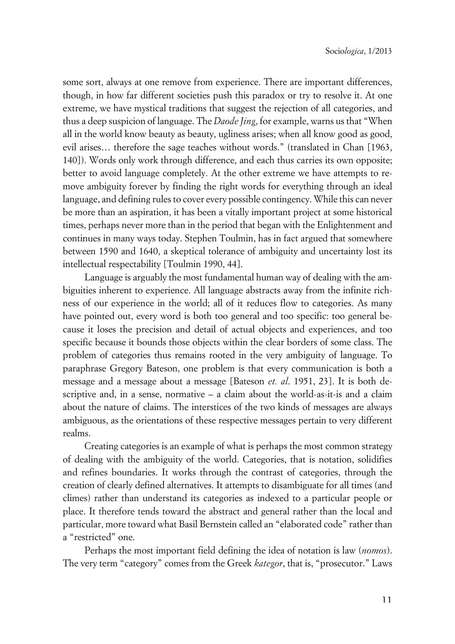some sort, always at one remove from experience. There are important differences, though, in how far different societies push this paradox or try to resolve it. At one extreme, we have mystical traditions that suggest the rejection of all categories, and thus a deep suspicion of language. The *Daode Jing*, for example, warns us that "When all in the world know beauty as beauty, ugliness arises; when all know good as good, evil arises… therefore the sage teaches without words." (translated in Chan [1963, 140]). Words only work through difference, and each thus carries its own opposite; better to avoid language completely. At the other extreme we have attempts to remove ambiguity forever by finding the right words for everything through an ideal language, and defining rules to cover every possible contingency. While this can never be more than an aspiration, it has been a vitally important project at some historical times, perhaps never more than in the period that began with the Enlightenment and continues in many ways today. Stephen Toulmin, has in fact argued that somewhere between 1590 and 1640, a skeptical tolerance of ambiguity and uncertainty lost its intellectual respectability [Toulmin 1990, 44].

Language is arguably the most fundamental human way of dealing with the ambiguities inherent to experience. All language abstracts away from the infinite richness of our experience in the world; all of it reduces flow to categories. As many have pointed out, every word is both too general and too specific: too general because it loses the precision and detail of actual objects and experiences, and too specific because it bounds those objects within the clear borders of some class. The problem of categories thus remains rooted in the very ambiguity of language. To paraphrase Gregory Bateson, one problem is that every communication is both a message and a message about a message [Bateson *et. al*. 1951, 23]. It is both descriptive and, in a sense, normative – a claim about the world-as-it-is and a claim about the nature of claims. The interstices of the two kinds of messages are always ambiguous, as the orientations of these respective messages pertain to very different realms.

Creating categories is an example of what is perhaps the most common strategy of dealing with the ambiguity of the world. Categories, that is notation, solidifies and refines boundaries. It works through the contrast of categories, through the creation of clearly defined alternatives. It attempts to disambiguate for all times (and climes) rather than understand its categories as indexed to a particular people or place. It therefore tends toward the abstract and general rather than the local and particular, more toward what Basil Bernstein called an "elaborated code" rather than a "restricted" one.

Perhaps the most important field defining the idea of notation is law (*nomos*). The very term "category" comes from the Greek *kategor*, that is, "prosecutor." Laws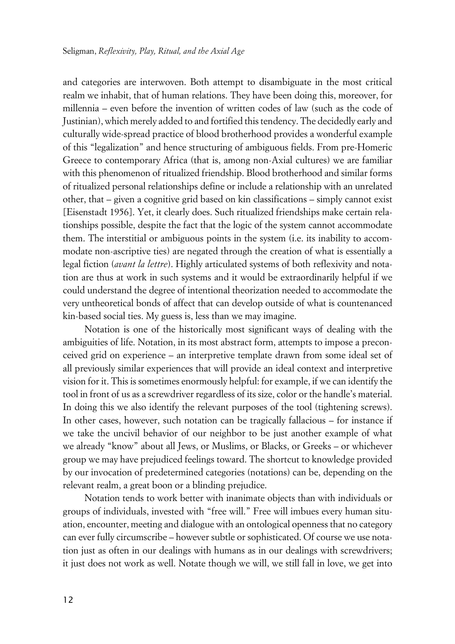and categories are interwoven. Both attempt to disambiguate in the most critical realm we inhabit, that of human relations. They have been doing this, moreover, for millennia – even before the invention of written codes of law (such as the code of Justinian), which merely added to and fortified this tendency. The decidedly early and culturally wide-spread practice of blood brotherhood provides a wonderful example of this "legalization" and hence structuring of ambiguous fields. From pre-Homeric Greece to contemporary Africa (that is, among non-Axial cultures) we are familiar with this phenomenon of ritualized friendship. Blood brotherhood and similar forms of ritualized personal relationships define or include a relationship with an unrelated other, that – given a cognitive grid based on kin classifications – simply cannot exist [Eisenstadt 1956]. Yet, it clearly does. Such ritualized friendships make certain relationships possible, despite the fact that the logic of the system cannot accommodate them. The interstitial or ambiguous points in the system (i.e. its inability to accommodate non-ascriptive ties) are negated through the creation of what is essentially a legal fiction (*avant la lettre*). Highly articulated systems of both reflexivity and notation are thus at work in such systems and it would be extraordinarily helpful if we could understand the degree of intentional theorization needed to accommodate the very untheoretical bonds of affect that can develop outside of what is countenanced kin-based social ties. My guess is, less than we may imagine.

Notation is one of the historically most significant ways of dealing with the ambiguities of life. Notation, in its most abstract form, attempts to impose a preconceived grid on experience – an interpretive template drawn from some ideal set of all previously similar experiences that will provide an ideal context and interpretive vision for it. This is sometimes enormously helpful: for example, if we can identify the tool in front of us as a screwdriver regardless of its size, color or the handle's material. In doing this we also identify the relevant purposes of the tool (tightening screws). In other cases, however, such notation can be tragically fallacious – for instance if we take the uncivil behavior of our neighbor to be just another example of what we already "know" about all Jews, or Muslims, or Blacks, or Greeks – or whichever group we may have prejudiced feelings toward. The shortcut to knowledge provided by our invocation of predetermined categories (notations) can be, depending on the relevant realm, a great boon or a blinding prejudice.

Notation tends to work better with inanimate objects than with individuals or groups of individuals, invested with "free will." Free will imbues every human situation, encounter, meeting and dialogue with an ontological openness that no category can ever fully circumscribe – however subtle or sophisticated. Of course we use notation just as often in our dealings with humans as in our dealings with screwdrivers; it just does not work as well. Notate though we will, we still fall in love, we get into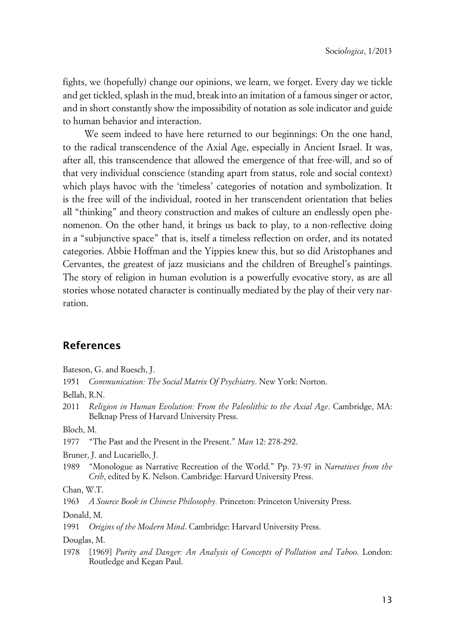fights, we (hopefully) change our opinions, we learn, we forget. Every day we tickle and get tickled, splash in the mud, break into an imitation of a famous singer or actor, and in short constantly show the impossibility of notation as sole indicator and guide to human behavior and interaction.

We seem indeed to have here returned to our beginnings: On the one hand, to the radical transcendence of the Axial Age, especially in Ancient Israel. It was, after all, this transcendence that allowed the emergence of that free-will, and so of that very individual conscience (standing apart from status, role and social context) which plays havoc with the 'timeless' categories of notation and symbolization. It is the free will of the individual, rooted in her transcendent orientation that belies all "thinking" and theory construction and makes of culture an endlessly open phenomenon. On the other hand, it brings us back to play, to a non-reflective doing in a "subjunctive space" that is, itself a timeless reflection on order, and its notated categories. Abbie Hoffman and the Yippies knew this, but so did Aristophanes and Cervantes, the greatest of jazz musicians and the children of Breughel's paintings. The story of religion in human evolution is a powerfully evocative story, as are all stories whose notated character is continually mediated by the play of their very narration.

### **References**

Bateson, G. and Ruesch, J.

1951 *Communication: The Social Matrix Of Psychiatry*. New York: Norton.

Bellah, R.N.

2011 *Religion in Human Evolution: From the Paleolithic to the Axial Age*. Cambridge, MA: Belknap Press of Harvard University Press.

Bloch, M.

- 1977 "The Past and the Present in the Present." *Man* 12: 278-292.
- Bruner, J. and Lucariello, J.
- 1989 "Monologue as Narrative Recreation of the World." Pp. 73-97 in *Narratives from the Crib*, edited by K. Nelson. Cambridge: Harvard University Press.

Chan, W.T.

1963 *A Source Book in Chinese Philosophy.* Princeton: Princeton University Press.

Donald, M.

1991 *Origins of the Modern Mind*. Cambridge: Harvard University Press.

Douglas, M.

1978 [1969] *Purity and Danger: An Analysis of Concepts of Pollution and Taboo*. London: Routledge and Kegan Paul.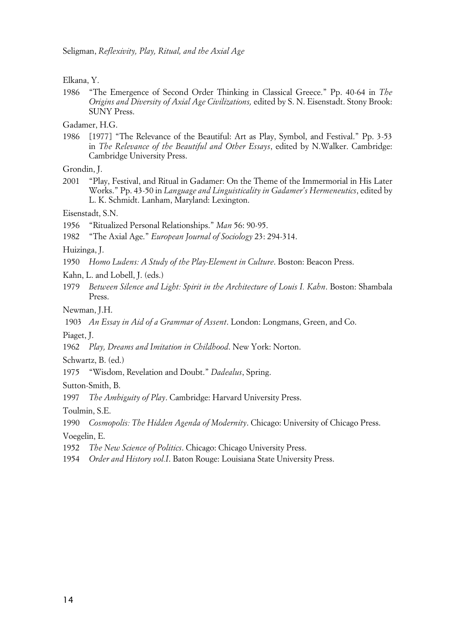Elkana, Y.

1986 "The Emergence of Second Order Thinking in Classical Greece." Pp. 40-64 in *The Origins and Diversity of Axial Age Civilizations,* edited by S. N. Eisenstadt. Stony Brook: SUNY Press.

Gadamer, H.G.

1986 [1977] "The Relevance of the Beautiful: Art as Play, Symbol, and Festival." Pp. 3-53 in *The Relevance of the Beautiful and Other Essays*, edited by N.Walker. Cambridge: Cambridge University Press.

Grondin, J.

2001 "Play, Festival, and Ritual in Gadamer: On the Theme of the Immermorial in His Later Works." Pp. 43-50 in *Language and Linguisticality in Gadamer's Hermeneutics*, edited by L. K. Schmidt. Lanham, Maryland: Lexington.

Eisenstadt, S.N.

- 1956 "Ritualized Personal Relationships." *Man* 56: 90-95.
- 1982 "The Axial Age." *European Journal of Sociology* 23: 294-314.

Huizinga, J.

1950 *Homo Ludens: A Study of the Play-Element in Culture*. Boston: Beacon Press.

Kahn, L. and Lobell, J. (eds.)

1979 *Between Silence and Light: Spirit in the Architecture of Louis I. Kahn*. Boston: Shambala Press.

Newman, J.H.

1903 *An Essay in Aid of a Grammar of Assent*. London: Longmans, Green, and Co.

Piaget, J.

1962 *Play, Dreams and Imitation in Childhood*. New York: Norton.

Schwartz, B. (ed.)

1975 "Wisdom, Revelation and Doubt." *Dadealus*, Spring.

Sutton-Smith, B.

1997 *The Ambiguity of Play*. Cambridge: Harvard University Press.

Toulmin, S.E.

1990 *Cosmopolis: The Hidden Agenda of Modernity*. Chicago: University of Chicago Press.

Voegelin, E.

1952 *The New Science of Politics*. Chicago: Chicago University Press.

1954 *Order and History vol.I*. Baton Rouge: Louisiana State University Press.